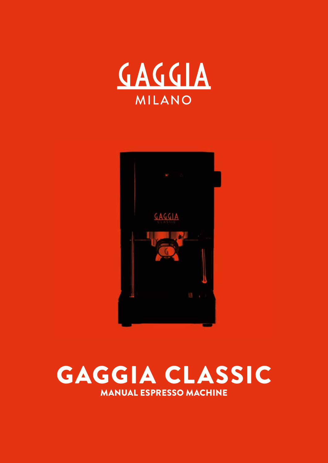



# GAGGIA CLASSIC MANUAL ESPRESSO MACHINE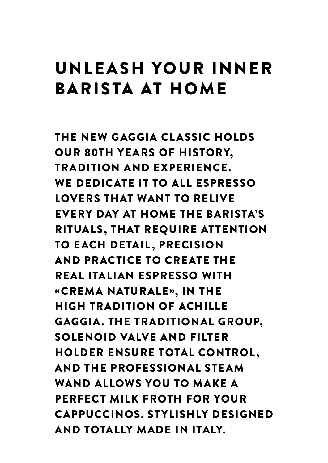# UNLE ASH YOUR INNER BARISTA AT HOME

THE NEW GAGGIA CLASSIC HOLDS OUR 80TH YEARS OF HISTORY, TRADITION AND EXPERIENCE. WE DEDICATE IT TO ALL ESPRESSO LOVERS THAT WANT TO RELIVE EVERY DAY AT HOME THE BARISTA'S RITUALS, THAT REQUIRE ATTENTION TO EACH DETAIL, PRECISION AND PRACTICE TO CREATE THE REAL ITALIAN ESPRESSO WITH «CREMA NATURALE», IN THE HIGH TRADITION OF ACHILLE GAGGIA. THE TRADITIONAL GROUP, SOLENOID VALVE AND FILTER HOLDER ENSURE TOTAL CONTROL, AND THE PROFESSIONAL STEAM WAND ALLOWS YOU TO MAKE A PERFECT MILK FROTH FOR YOUR CAPPUCCINOS. STYLISHLY DESIGNED AND TOTALLY MADE IN ITALY.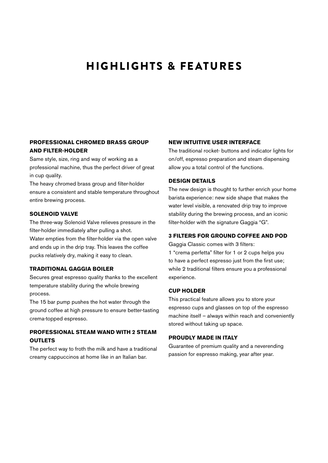### HIGHLIGHTS & FEATURES

#### **PROFESSIONAL CHROMED BRASS GROUP AND FILTER-HOLDER**

Same style, size, ring and way of working as a professional machine, thus the perfect driver of great in cup quality.

The heavy chromed brass group and filter-holder ensure a consistent and stable temperature throughout entire brewing process.

#### **SOLENOID VALVE**

The three-way Solenoid Valve relieves pressure in the filter-holder immediately after pulling a shot. Water empties from the filter-holder via the open valve and ends up in the drip tray. This leaves the coffee pucks relatively dry, making it easy to clean.

#### **TRADITIONAL GAGGIA BOILER**

Secures great espresso quality thanks to the excellent temperature stability during the whole brewing process.

The 15 bar pump pushes the hot water through the ground coffee at high pressure to ensure better-tasting crema-topped espresso.

#### **PROFESSIONAL STEAM WAND WITH 2 STEAM OUTLETS**

The perfect way to froth the milk and have a traditional creamy cappuccinos at home like in an Italian bar.

#### **NEW INTUITIVE USER INTERFACE**

The traditional rocket- buttons and indicator lights for on/off, espresso preparation and steam dispensing allow you a total control of the functions.

#### **DESIGN DETAILS**

The new design is thought to further enrich your home barista experience: new side shape that makes the water level visible, a renovated drip tray to improve stability during the brewing process, and an iconic filter-holder with the signature Gaggia "G".

#### **3 FILTERS FOR GROUND COFFEE AND POD**

Gaggia Classic comes with 3 filters: 1 "crema perfetta" filter for 1 or 2 cups helps you to have a perfect espresso just from the first use; while 2 traditional filters ensure you a professional experience.

#### **CUP HOLDER**

This practical feature allows you to store your espresso cups and glasses on top of the espresso machine itself – always within reach and conveniently stored without taking up space.

#### **PROUDLY MADE IN ITALY**

Guarantee of premium quality and a neverending passion for espresso making, year after year.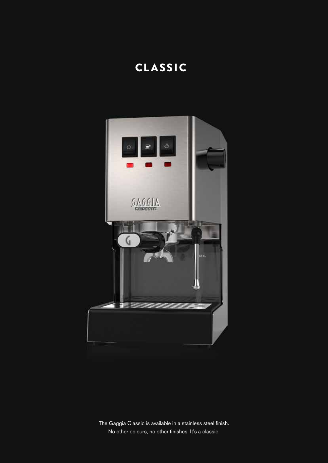## CLASSIC



The Gaggia Classic is available in a stainless steel finish. No other colours, no other finishes. It's a classic.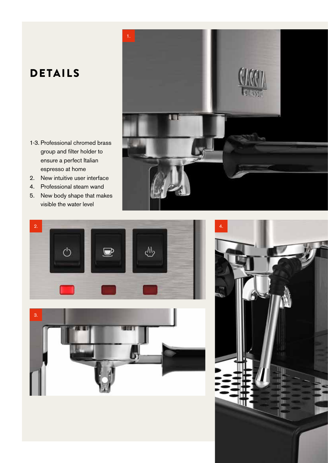## DETAILS

- 1-3. Professional chromed brass group and filter holder to ensure a perfect Italian espresso at home
- 2. New intuitive user interface
- 4. Professional steam wand
- 5. New body shape that makes visible the water level







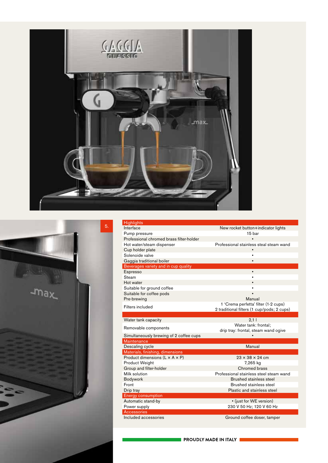



| <b>Highlights</b>                                      |                                            |
|--------------------------------------------------------|--------------------------------------------|
| Interface                                              | New rocket button+indicator lights         |
| Pump pressure                                          | 15 bar                                     |
| Professional chromed brass filter-holder               |                                            |
| Hot water/steam dispenser                              | Professional stainless steal steam wand    |
| Cup holder plate                                       | $\bullet$                                  |
| Solenoide valve                                        | $\bullet$                                  |
| Gaggia traditional boiler                              | $\bullet$                                  |
| Beverages variety and in cup quality                   |                                            |
| Espresso                                               | $\bullet$                                  |
| Steam                                                  |                                            |
| Hot water                                              |                                            |
| Suitable for ground coffee                             |                                            |
| Suitable for coffee pods                               |                                            |
| Pre-brewing                                            | Manual                                     |
| Filters included                                       | 1 'Crema perfetta' filter (1-2 cups)       |
|                                                        | 2 traditional filters (1 cup/pods; 2 cups) |
|                                                        |                                            |
| Water tank capacity                                    | 2,1                                        |
| Removable components                                   | Water tank: frontal;                       |
|                                                        | drip tray: frontal, steam wand ogive       |
| Simultaneously brewing of 2 coffee cups<br>Maintenance |                                            |
| Descaling cycle                                        | Manual                                     |
| Materials, finishing, dimensions                       |                                            |
| Product dimensions $(L \times A \times P)$             | $23 \times 38 \times 24$ cm                |
| <b>Product Weight</b>                                  | 7,265 kg                                   |
| Group and filter-holder                                | Chromed brass                              |
| Milk solution                                          | Professional stainless steel steam wand    |
| <b>Bodywork</b>                                        | Brushed stainless steel                    |
| Front                                                  | Brushed stainless steel                    |
| Drip tray                                              | Plastic and stainless steel                |
| <b>Energy consumption</b>                              |                                            |
| Automatic stand-by                                     | • (just for WE version)                    |
| Power supply                                           | 230 V 50 Hz; 120 V 60 Hz                   |
| <b>Accessories</b>                                     |                                            |
| Included accessories                                   | Ground coffee doser, tamper                |
|                                                        |                                            |

PROUDLY MADE IN ITALY